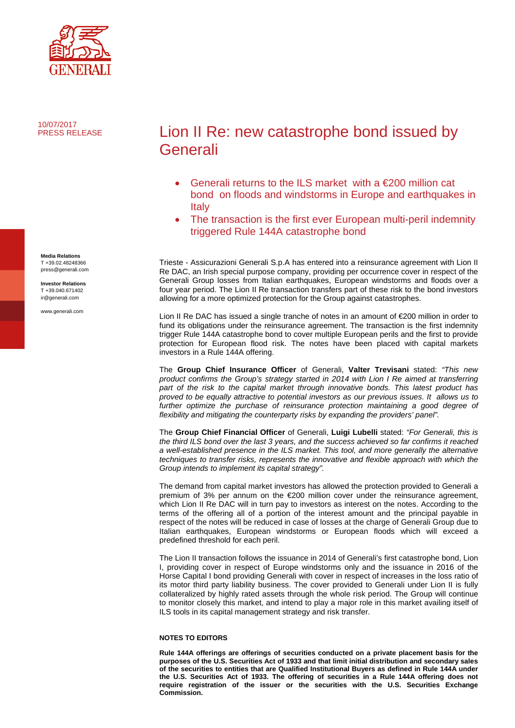

10/07/2017 PRESS RELEASE

Lion II Re: new catastrophe bond issued by Generali

- Generali returns to the ILS market with a  $\epsilon$ 200 million cat bond on floods and windstorms in Europe and earthquakes in Italy
- The transaction is the first ever European multi-peril indemnity triggered Rule 144A catastrophe bond

Trieste - Assicurazioni Generali S.p.A has entered into a reinsurance agreement with Lion II Re DAC, an Irish special purpose company, providing per occurrence cover in respect of the Generali Group losses from Italian earthquakes, European windstorms and floods over a four year period. The Lion II Re transaction transfers part of these risk to the bond investors allowing for a more optimized protection for the Group against catastrophes.

Lion II Re DAC has issued a single tranche of notes in an amount of €200 million in order to fund its obligations under the reinsurance agreement. The transaction is the first indemnity trigger Rule 144A catastrophe bond to cover multiple European perils and the first to provide protection for European flood risk. The notes have been placed with capital markets investors in a Rule 144A offering.

The **Group Chief Insurance Officer** of Generali, **Valter Trevisani** stated: *"This new product confirms the Group's strategy started in 2014 with Lion I Re aimed at transferring part of the risk to the capital market through innovative bonds. This latest product has proved to be equally attractive to potential investors as our previous issues. It allows us to*  further optimize the purchase of reinsurance protection maintaining a good degree of *flexibility and mitigating the counterparty risks by expanding the providers' panel".*

The **Group Chief Financial Officer** of Generali, **Luigi Lubelli** stated: *"For Generali, this is the third ILS bond over the last 3 years, and the success achieved so far confirms it reached a well-established presence in the ILS market. This tool, and more generally the alternative techniques to transfer risks, represents the innovative and flexible approach with which the Group intends to implement its capital strategy".*

The demand from capital market investors has allowed the protection provided to Generali a premium of 3% per annum on the €200 million cover under the reinsurance agreement, which Lion II Re DAC will in turn pay to investors as interest on the notes. According to the terms of the offering all of a portion of the interest amount and the principal payable in respect of the notes will be reduced in case of losses at the charge of Generali Group due to Italian earthquakes, European windstorms or European floods which will exceed a predefined threshold for each peril.

The Lion II transaction follows the issuance in 2014 of Generali's first catastrophe bond, Lion I, providing cover in respect of Europe windstorms only and the issuance in 2016 of the Horse Capital I bond providing Generali with cover in respect of increases in the loss ratio of its motor third party liability business. The cover provided to Generali under Lion II is fully collateralized by highly rated assets through the whole risk period. The Group will continue to monitor closely this market, and intend to play a major role in this market availing itself of ILS tools in its capital management strategy and risk transfer.

## **NOTES TO EDITORS**

**Rule 144A offerings are offerings of securities conducted on a private placement basis for the purposes of the U.S. Securities Act of 1933 and that limit initial distribution and secondary sales of the securities to entities that are Qualified Institutional Buyers as defined in Rule 144A under the U.S. Securities Act of 1933. The offering of securities in a Rule 144A offering does not require registration of the issuer or the securities with the U.S. Securities Exchange Commission.** 

**Media Relations** T +39.02.48248366 press@generali.com

**Investor Relations** T +39.040.671402 ir@generali.com

www.generali.com